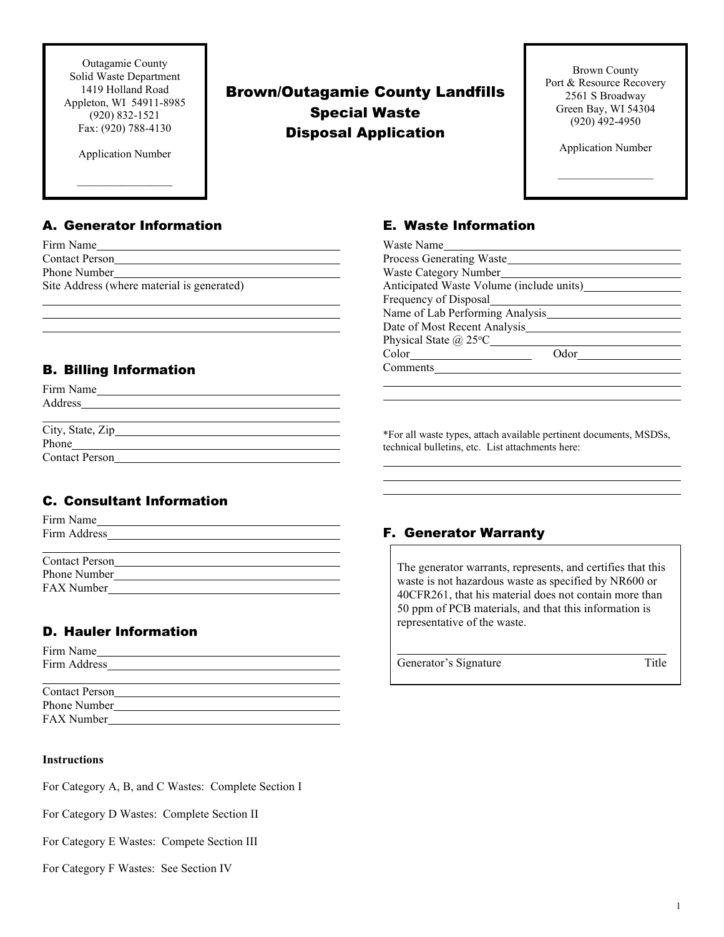Outagamie County Solid Waste Department 1419 Holland Road Appleton, WI 54911-8985 (920) 832-1521 Fax: (920) 788-4130

Application Number

 $\frac{1}{2}$  ,  $\frac{1}{2}$  ,  $\frac{1}{2}$  ,  $\frac{1}{2}$  ,  $\frac{1}{2}$  ,  $\frac{1}{2}$  ,  $\frac{1}{2}$  ,  $\frac{1}{2}$ 

# Brown/Outagamie County Landfills Special Waste Disposal Application

Brown County Port & Resource Recovery 2561 S Broadway Green Bay, WI 54304 (920) 492-4950

Application Number

 $\overline{\phantom{a}}$ 

## A. Generator Information

| Firm Name                                  |
|--------------------------------------------|
| <b>Contact Person</b>                      |
| Phone Number                               |
| Site Address (where material is generated) |

# B. Billing Information

| Firm Name             |  |  |
|-----------------------|--|--|
| Address               |  |  |
|                       |  |  |
|                       |  |  |
| Phone                 |  |  |
| <b>Contact Person</b> |  |  |

# C. Consultant Information

| Firm Name             |  |  |
|-----------------------|--|--|
| Firm Address          |  |  |
|                       |  |  |
| <b>Contact Person</b> |  |  |
| Phone Number          |  |  |
| <b>FAX Number</b>     |  |  |

# D. Hauler Information

Firm Name Firm Address

| <b>Contact Person</b> |  |
|-----------------------|--|
| Phone Number          |  |
| <b>FAX Number</b>     |  |

### **Instructions**

For Category A, B, and C Wastes: Complete Section I

For Category D Wastes: Complete Section II

For Category E Wastes: Compete Section III

For Category F Wastes: See Section IV

# E. Waste Information

| Waste Name                               |      |
|------------------------------------------|------|
| Process Generating Waste                 |      |
| Waste Category Number                    |      |
| Anticipated Waste Volume (include units) |      |
| Frequency of Disposal                    |      |
| Name of Lab Performing Analysis          |      |
| Date of Most Recent Analysis             |      |
| Physical State $\omega$ 25°C             |      |
| Color                                    | Odor |
| Comments                                 |      |
|                                          |      |

\*For all waste types, attach available pertinent documents, MSDSs, technical bulletins, etc. List attachments here:

## F. Generator Warranty

The generator warrants, represents, and certifies that this waste is not hazardous waste as specified by NR600 or 40CFR261, that his material does not contain more than 50 ppm of PCB materials, and that this information is representative of the waste.

Generator's Signature Title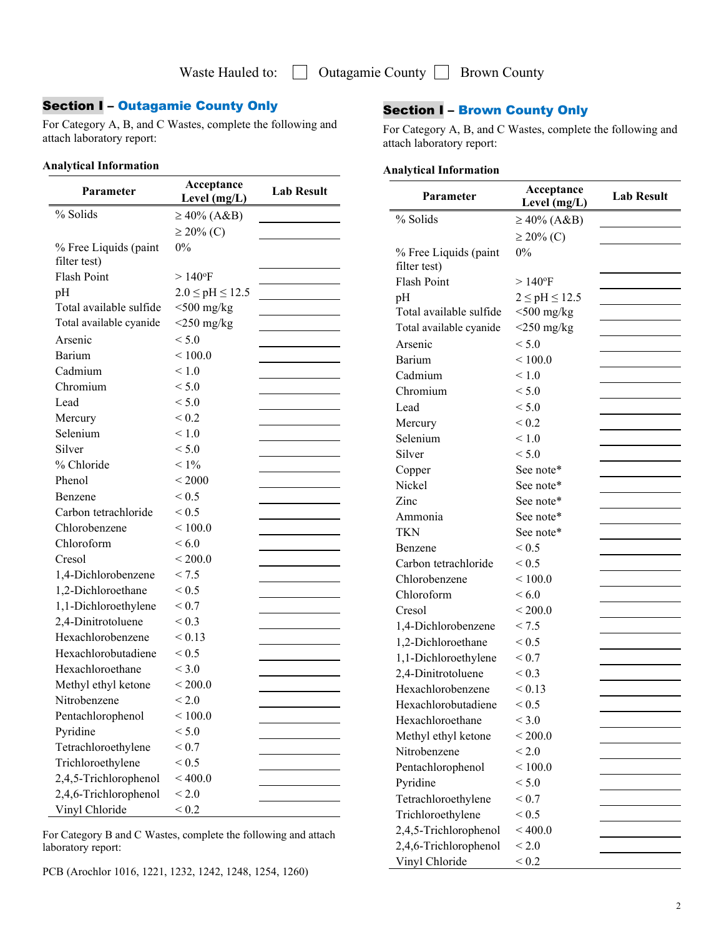# Section I – Outagamie County Only

For Category A, B, and C Wastes, complete the following and attach laboratory report:

#### **Analytical Information**

| Parameter               | Acceptance<br>Level (mg/L) | <b>Lab Result</b> |
|-------------------------|----------------------------|-------------------|
| % Solids                | $\geq 40\%$ (A&B)          |                   |
|                         | $\geq$ 20% (C)             |                   |
| % Free Liquids (paint   | $0\%$                      |                   |
| filter test)            |                            |                   |
| <b>Flash Point</b>      | $>140$ °F                  |                   |
| pH                      | $2.0 \le pH \le 12.5$      |                   |
| Total available sulfide | $<$ 500 mg/kg              |                   |
| Total available cyanide | $<$ 250 mg/kg              |                   |
| Arsenic                 | < 5.0                      |                   |
| Barium                  | ${}_{\leq 100.0}$          |                   |
| Cadmium                 | $\leq 1.0$                 |                   |
| Chromium                | < 5.0                      |                   |
| Lead                    | < 5.0                      |                   |
| Mercury                 | ${}_{0.2}$                 |                   |
| Selenium                | $\leq 1.0$                 |                   |
| Silver                  | < 5.0                      |                   |
| % Chloride              | $< 1\%$                    |                   |
| Phenol                  | ${}<$ 2000                 |                   |
| <b>Benzene</b>          | ${}_{0.5}$                 |                   |
| Carbon tetrachloride    | ${}_{0.5}$                 |                   |
| Chlorobenzene           | ${}_{<100.0}$              |                   |
| Chloroform              | < 6.0                      |                   |
| Cresol                  | ${}_{\leq 200.0}$          |                   |
| 1,4-Dichlorobenzene     | < 7.5                      |                   |
| 1,2-Dichloroethane      | ${}_{0.5}$                 |                   |
| 1,1-Dichloroethylene    | ${}_{0.7}$                 |                   |
| 2,4-Dinitrotoluene      | ${}_{0.3}$                 |                   |
| Hexachlorobenzene       | ${}_{\leq 0.13}$           |                   |
| Hexachlorobutadiene     | ${}_{0.5}$                 |                   |
| Hexachloroethane        | ${}< 3.0$                  |                   |
| Methyl ethyl ketone     | ${}<$ 200.0                |                   |
| Nitrobenzene            | ${}_{\leq 2.0}$            |                   |
| Pentachlorophenol       | $<$ 100.0 $\,$             |                   |
| Pyridine                | < 5.0                      |                   |
| Tetrachloroethylene     | ${}_{\leq 0.7}$            |                   |
| Trichloroethylene       | < 0.5                      |                   |
| 2,4,5-Trichlorophenol   | < 400.0                    |                   |
| 2,4,6-Trichlorophenol   | ${}_{< 2.0}$               |                   |
| Vinyl Chloride          | ${}_{< 0.2}$               |                   |

For Category B and C Wastes, complete the following and attach laboratory report:

PCB (Arochlor 1016, 1221, 1232, 1242, 1248, 1254, 1260)

## Section I – Brown County Only

For Category A, B, and C Wastes, complete the following and attach laboratory report:

### **Analytical Information**

| Parameter               | Acceptance<br>Level (mg/L) | <b>Lab Result</b> |
|-------------------------|----------------------------|-------------------|
| % Solids                | $\geq 40\%$ (A&B)          |                   |
|                         | $\geq$ 20% (C)             |                   |
| % Free Liquids (paint   | $0\%$                      |                   |
| filter test)            |                            |                   |
| <b>Flash Point</b>      | $>140$ °F                  |                   |
| pH                      | $2 \leq pH \leq 12.5$      |                   |
| Total available sulfide | $<$ 500 mg/kg              |                   |
| Total available cyanide | $<$ 250 mg/kg              |                   |
| Arsenic                 | < 5.0                      |                   |
| Barium                  | ${}_{<100.0}$              |                   |
| Cadmium                 | < 1.0                      |                   |
| Chromium                | < 5.0                      |                   |
| Lead                    | < 5.0                      |                   |
| Mercury                 | ${}_{0.2}$                 |                   |
| Selenium                | < 1.0                      |                   |
| Silver                  | < 5.0                      |                   |
| Copper                  | See note*                  |                   |
| Nickel                  | See note*                  |                   |
| Zinc                    | See note*                  |                   |
| Ammonia                 | See note*                  |                   |
| <b>TKN</b>              | See note*                  |                   |
| Benzene                 | ${}_{\leq 0.5}$            |                   |
| Carbon tetrachloride    | ${}_{0.5}$                 |                   |
| Chlorobenzene           | ${}<$ 100.0                |                   |
| Chloroform              | ${}< 6.0$                  |                   |
| Cresol                  | ${}_{\leq 200.0}$          |                   |
| 1,4-Dichlorobenzene     | < 7.5                      |                   |
| 1,2-Dichloroethane      | ${}_{\leq 0.5}$            |                   |
| 1,1-Dichloroethylene    | ${}_{\leq 0.7}$            |                   |
| 2,4-Dinitrotoluene      | ${}_{0.3}$                 |                   |
| Hexachlorobenzene       | < 0.13                     |                   |
| Hexachlorobutadiene     | ${}_{\leq 0.5}$            |                   |
| Hexachloroethane        | < 3.0                      |                   |
| Methyl ethyl ketone     | ${}<$ 200.0                |                   |
| Nitrobenzene            | ${}_{< 2.0}$               |                   |
| Pentachlorophenol       | ${}< 100.0$                |                   |
| Pyridine                | < 5.0                      |                   |
| Tetrachloroethylene     | ${}_{< 0.7}$               |                   |
| Trichloroethylene       | ${}_{\leq 0.5}$            |                   |
| 2,4,5-Trichlorophenol   | < 400.0                    |                   |
| 2,4,6-Trichlorophenol   | ${}_{\leq 2.0}$            |                   |
| Vinyl Chloride          | ${}_{\leq 0.2}$            |                   |